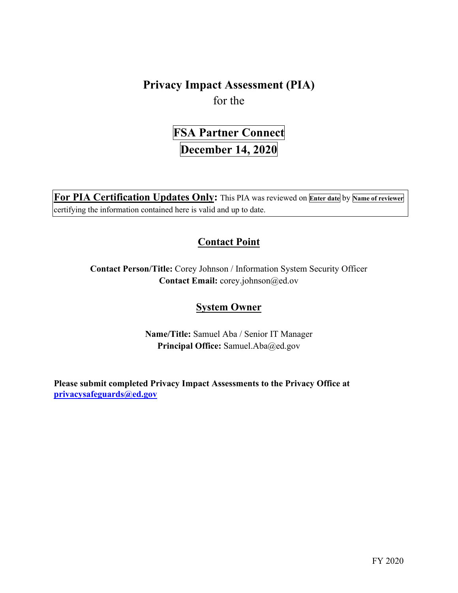**Privacy Impact Assessment (PIA)**  for the

> **FSA Partner Connect December 14, 2020**

 **For PIA Certification Updates Only:** This PIA was reviewed on **Enter date** by **Name of reviewer**  certifying the information contained here is valid and up to date.

# **Contact Point**

**Contact Person/Title:** Corey Johnson / Information System Security Officer **Contact Email:** [corey.johnson@ed.ov](mailto:corey.johnson@ed.ov)

# **System Owner**

 **Name/Title:** Samuel Aba / Senior IT Manager Principal Office: [Samuel.Aba@ed.gov](mailto:Samuel.Aba@ed.gov)

 **[privacysafeguards@ed.gov](mailto:privacysafeguards@ed.gov) Please submit completed Privacy Impact Assessments to the Privacy Office at**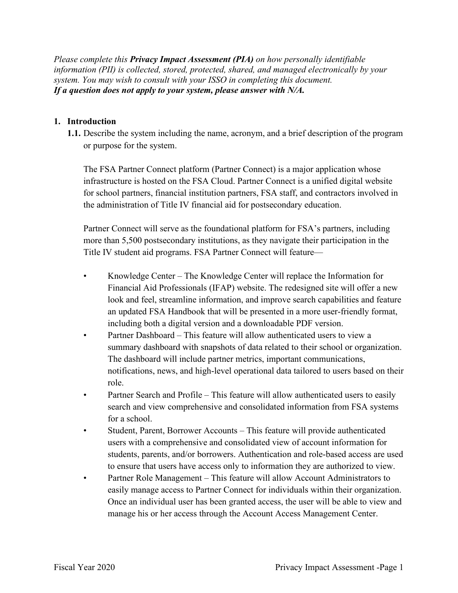*Please complete this Privacy Impact Assessment (PIA) on how personally identifiable information (PII) is collected, stored, protected, shared, and managed electronically by your system. You may wish to consult with your ISSO in completing this document. If a question does not apply to your system, please answer with N/A.* 

#### **1. Introduction**

 **1.1.** Describe the system including the name, acronym, and a brief description of the program or purpose for the system.

The FSA Partner Connect platform (Partner Connect) is a major application whose infrastructure is hosted on the FSA Cloud. Partner Connect is a unified digital website for school partners, financial institution partners, FSA staff, and contractors involved in the administration of Title IV financial aid for postsecondary education.

Partner Connect will serve as the foundational platform for FSA's partners, including more than 5,500 postsecondary institutions, as they navigate their participation in the Title IV student aid programs. FSA Partner Connect will feature—

- • Knowledge Center The Knowledge Center will replace the Information for Financial Aid Professionals (IFAP) website. The redesigned site will offer a new look and feel, streamline information, and improve search capabilities and feature an updated FSA Handbook that will be presented in a more user-friendly format, including both a digital version and a downloadable PDF version.
- Partner Dashboard This feature will allow authenticated users to view a summary dashboard with snapshots of data related to their school or organization. The dashboard will include partner metrics, important communications, notifications, news, and high-level operational data tailored to users based on their role.
- Partner Search and Profile This feature will allow authenticated users to easily search and view comprehensive and consolidated information from FSA systems for a school.
- • Student, Parent, Borrower Accounts This feature will provide authenticated students, parents, and/or borrowers. Authentication and role-based access are used users with a comprehensive and consolidated view of account information for to ensure that users have access only to information they are authorized to view.
- Partner Role Management This feature will allow Account Administrators to easily manage access to Partner Connect for individuals within their organization. Once an individual user has been granted access, the user will be able to view and manage his or her access through the Account Access Management Center.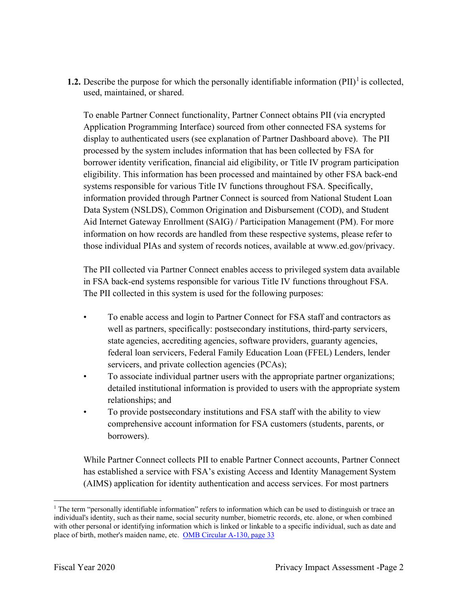**1.2.** Describe the purpose for which the personally identifiable information  $(PII)^{1}$  is collected, used, maintained, or shared.

 To enable Partner Connect functionality, Partner Connect obtains PII (via encrypted Application Programming Interface) sourced from other connected FSA systems for display to authenticated users (see explanation of Partner Dashboard above). The PII processed by the system includes information that has been collected by FSA for borrower identity verification, financial aid eligibility, or Title IV program participation eligibility. This information has been processed and maintained by other FSA back-end systems responsible for various Title IV functions throughout FSA. Specifically, information provided through Partner Connect is sourced from National Student Loan Data System (NSLDS), Common Origination and Disbursement (COD), and Student Aid Internet Gateway Enrollment (SAIG) / Participation Management (PM). For more information on how records are handled from these respective systems, please refer to those individual PIAs and system of records notices, available at<www.ed.gov/privacy>.

 in FSA back-end systems responsible for various Title IV functions throughout FSA. The PII collected via Partner Connect enables access to privileged system data available The PII collected in this system is used for the following purposes:

- state agencies, accrediting agencies, software providers, guaranty agencies, • To enable access and login to Partner Connect for FSA staff and contractors as well as partners, specifically: postsecondary institutions, third-party servicers, federal loan servicers, Federal Family Education Loan (FFEL) Lenders, lender servicers, and private collection agencies (PCAs);
- To associate individual partner users with the appropriate partner organizations; detailed institutional information is provided to users with the appropriate system relationships; and
- To provide postsecondary institutions and FSA staff with the ability to view comprehensive account information for FSA customers (students, parents, or borrowers).

While Partner Connect collects PII to enable Partner Connect accounts, Partner Connect has established a service with FSA's existing Access and Identity Management System (AIMS) application for identity authentication and access services. For most partners

place of birth, mother's maiden name, etc. OMB Circular A-130, page 33 <sup>1</sup> The term "personally identifiable information" refers to information which can be used to distinguish or trace an individual's identity, such as their name, social security number, biometric records, etc. alone, or when combined with other personal or identifying information which is linked or linkable to a specific individual, such as date and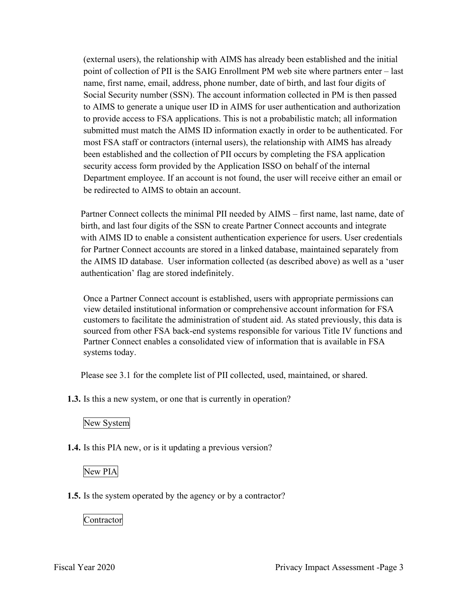(external users), the relationship with AIMS has already been established and the initial point of collection of PII is the SAIG Enrollment PM web site where partners enter – last name, first name, email, address, phone number, date of birth, and last four digits of Social Security number (SSN). The account information collected in PM is then passed to AIMS to generate a unique user ID in AIMS for user authentication and authorization to provide access to FSA applications. This is not a probabilistic match; all information submitted must match the AIMS ID information exactly in order to be authenticated. For most FSA staff or contractors (internal users), the relationship with AIMS has already been established and the collection of PII occurs by completing the FSA application security access form provided by the Application ISSO on behalf of the internal Department employee. If an account is not found, the user will receive either an email or be redirected to AIMS to obtain an account.

 Partner Connect collects the minimal PII needed by AIMS – first name, last name, date of with AIMS ID to enable a consistent authentication experience for users. User credentials the AIMS ID database. User information collected (as described above) as well as a 'user birth, and last four digits of the SSN to create Partner Connect accounts and integrate for Partner Connect accounts are stored in a linked database, maintained separately from authentication' flag are stored indefinitely.

 sourced from other FSA back-end systems responsible for various Title IV functions and Once a Partner Connect account is established, users with appropriate permissions can view detailed institutional information or comprehensive account information for FSA customers to facilitate the administration of student aid. As stated previously, this data is Partner Connect enables a consolidated view of information that is available in FSA systems today.

Please see 3.1 for the complete list of PII collected, used, maintained, or shared.

**1.3.** Is this a new system, or one that is currently in operation?

## New System

**1.4.** Is this PIA new, or is it updating a previous version?

## New PIA

**1.5.** Is the system operated by the agency or by a contractor?

Contractor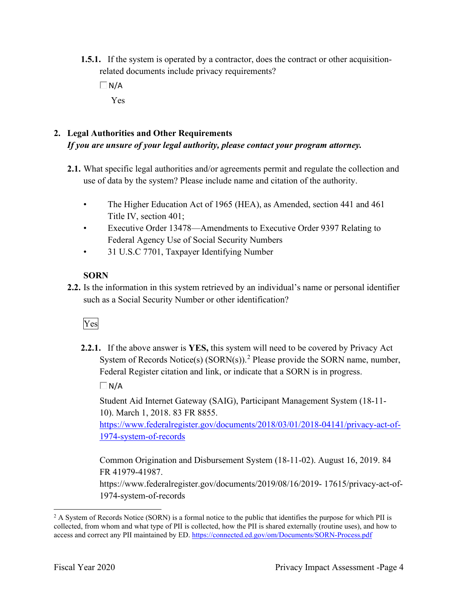- **1.5.1.** If the system is operated by a contractor, does the contract or other acquisitionrelated documents include privacy requirements?
	- $\Box$  N/A Yes

# **2. Legal Authorities and Other Requirements**  *If you are unsure of your legal authority, please contact your program attorney.*

- **2.1.** What specific legal authorities and/or agreements permit and regulate the collection and use of data by the system? Please include name and citation of the authority.
	- The Higher Education Act of 1965 (HEA), as Amended, section 441 and 461 Title IV, section 401;
	- Executive Order 13478—Amendments to Executive Order 9397 Relating to Federal Agency Use of Social Security Numbers
	- 31 U.S.C 7701, Taxpayer Identifying Number

# **SORN**

such as a Social Security Number or other identification?<br>Ves **2.2.** Is the information in this system retrieved by an individual's name or personal identifier

**2.2.1.** If the above answer is **YES,** this system will need to be covered by Privacy Act System of Records Notice(s)  $(SORN(s))$ .<sup>2</sup> Please provide the SORN name, number, Federal Register citation and link, or indicate that a SORN is in progress.

 $\Box$ N/A

Student Aid Internet Gateway (SAIG), Participant Management System (18-11- 10). March 1, 2018. 83 FR 8855.

1974-system-of-records [https://www.federalregister.gov/documents/2018/03/01/2018-04141/privacy-act-of-](https://www.federalregister.gov/documents/2018/03/01/2018-04141/privacy-act-of)

Common Origination and Disbursement System (18-11-02). August 16, 2019. 84 FR 41979-41987.

[https://www.federalregister.gov/documents/2019/08/16/2019- 17615/privacy-act-of-](https://www.federalregister.gov/documents/2019/08/16/2019-17615/privacy-act-of)1974-system-of-records

access and correct any PII maintained by ED. https://connected.ed.gov/om/Documents/SORN-Process.pdf<br>Fiscal Year 2020 Privacy Impact Assessment -Page 4  $2$  A System of Records Notice (SORN) is a formal notice to the public that identifies the purpose for which PII is collected, from whom and what type of PII is collected, how the PII is shared externally (routine uses), and how to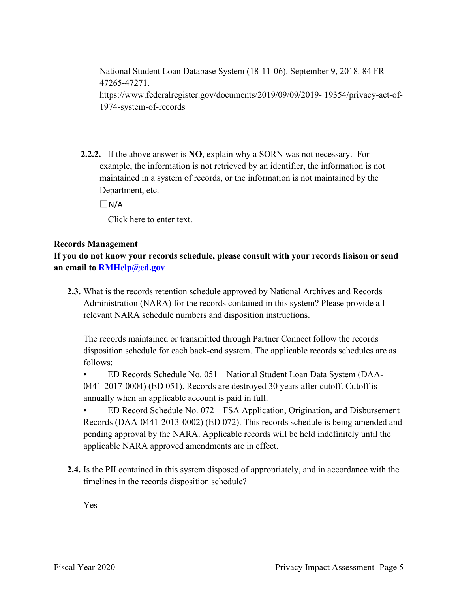National Student Loan Database System (18-11-06). September 9, 2018. 84 FR 47265-47271. [https://www.federalregister.gov/documents/2019/09/09/2019- 19354/privacy-act-of-](https://www.federalregister.gov/documents/2019/09/09/2019-19354/privacy-act-of)1974-system-of-records

 **2.2.2.** If the above answer is **NO**, explain why a SORN was not necessary. For Department, etc. example, the information is not retrieved by an identifier, the information is not maintained in a system of records, or the information is not maintained by the

 $\Box$ N/A

Click here to enter text.

## **Records Management**

**If you do not know your records schedule, please consult with your records liaison or send an email to [RMHelp@ed.gov](mailto:RMHelp@ed.gov)** 

 **2.3.** What is the records retention schedule approved by National Archives and Records Administration (NARA) for the records contained in this system? Please provide all relevant NARA schedule numbers and disposition instructions.

The records maintained or transmitted through Partner Connect follow the records disposition schedule for each back-end system. The applicable records schedules are as follows:

• ED Records Schedule No. 051 – National Student Loan Data System (DAA-0441-2017-0004) (ED 051). Records are destroyed 30 years after cutoff. Cutoff is annually when an applicable account is paid in full.

• ED Record Schedule No. 072 – FSA Application, Origination, and Disbursement Records (DAA-0441-2013-0002) (ED 072). This records schedule is being amended and pending approval by the NARA. Applicable records will be held indefinitely until the applicable NARA approved amendments are in effect.

**2.4.** Is the PII contained in this system disposed of appropriately, and in accordance with the timelines in the records disposition schedule?

Yes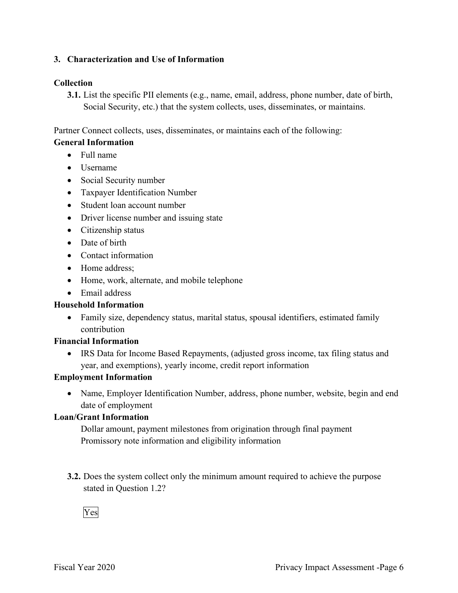## **3. Characterization and Use of Information**

## **Collection**

**3.1.** List the specific PII elements (e.g., name, email, address, phone number, date of birth, Social Security, etc.) that the system collects, uses, disseminates, or maintains.

Partner Connect collects, uses, disseminates, or maintains each of the following:

## **General Information**

- Full name
- Username
- Social Security number
- Taxpayer Identification Number
- Student loan account number
- Driver license number and issuing state
- Citizenship status
- Date of birth
- Contact information
- Home address;
- Home, work, alternate, and mobile telephone
- Email address

## **Household Information**

• Family size, dependency status, marital status, spousal identifiers, estimated family contribution

## **Financial Information**

 • IRS Data for Income Based Repayments, (adjusted gross income, tax filing status and year, and exemptions), yearly income, credit report information

## **Employment Information**

• Name, Employer Identification Number, address, phone number, website, begin and end date of employment

## **Loan/Grant Information**

Dollar amount, payment milestones from origination through final payment Promissory note information and eligibility information

stated in Question 1.2?<br>Yes **3.2.** Does the system collect only the minimum amount required to achieve the purpose

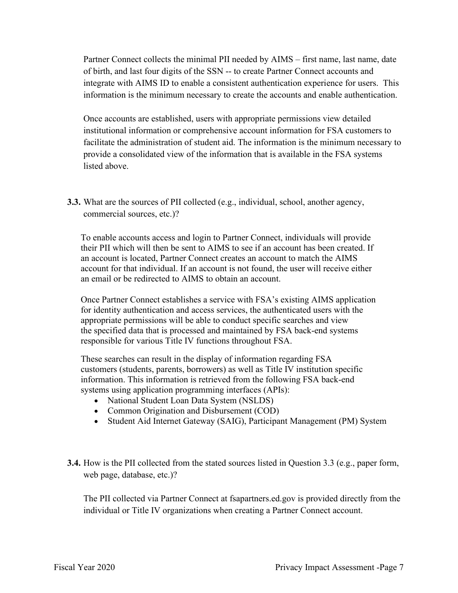Partner Connect collects the minimal PII needed by AIMS – first name, last name, date of birth, and last four digits of the SSN -- to create Partner Connect accounts and integrate with AIMS ID to enable a consistent authentication experience for users. This information is the minimum necessary to create the accounts and enable authentication.

 provide a consolidated view of the information that is available in the FSA systems Once accounts are established, users with appropriate permissions view detailed institutional information or comprehensive account information for FSA customers to facilitate the administration of student aid. The information is the minimum necessary to listed above.

**3.3.** What are the sources of PII collected (e.g., individual, school, another agency, commercial sources, etc.)?

 an account is located, Partner Connect creates an account to match the AIMS To enable accounts access and login to Partner Connect, individuals will provide their PII which will then be sent to AIMS to see if an account has been created. If account for that individual. If an account is not found, the user will receive either an email or be redirected to AIMS to obtain an account.

 Once Partner Connect establishes a service with FSA's existing AIMS application for identity authentication and access services, the authenticated users with the appropriate permissions will be able to conduct specific searches and view the specified data that is processed and maintained by FSA back-end systems responsible for various Title IV functions throughout FSA.

 responsible for various Title IV functions throughout FSA. These searches can result in the display of information regarding FSA customers (students, parents, borrowers) as well as Title IV institution specific information. This information is retrieved from the following FSA back-end systems using application programming interfaces (APIs):

- National Student Loan Data System (NSLDS)
- Common Origination and Disbursement (COD)
- Student Aid Internet Gateway (SAIG), Participant Management (PM) System
- **3.4.** How is the PII collected from the stated sources listed in Question 3.3 (e.g., paper form, web page, database, etc.)?

 individual or Title IV organizations when creating a Partner Connect account. The PII collected via Partner Connect at [fsapartners.ed.gov](https://fsapartners.ed.gov) is provided directly from the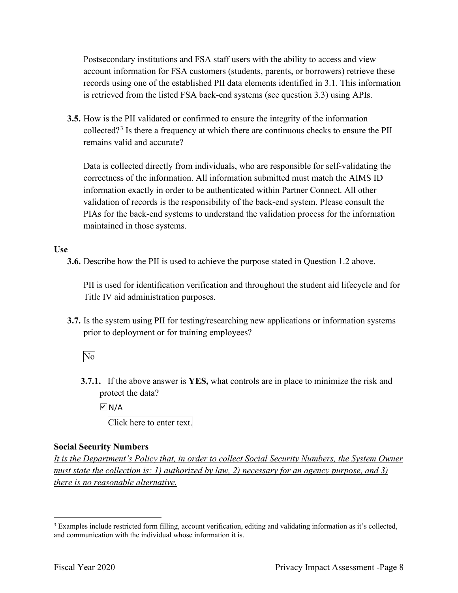Postsecondary institutions and FSA staff users with the ability to access and view is retrieved from the listed FSA back-end systems (see question 3.3) using APIs. account information for FSA customers (students, parents, or borrowers) retrieve these records using one of the established PII data elements identified in 3.1. This information

**3.5.** How is the PII validated or confirmed to ensure the integrity of the information collected?<sup>3</sup> Is there a frequency at which there are continuous checks to ensure the PII remains valid and accurate?

 maintained in those systems. Data is collected directly from individuals, who are responsible for self-validating the correctness of the information. All information submitted must match the AIMS ID information exactly in order to be authenticated within Partner Connect. All other validation of records is the responsibility of the back-end system. Please consult the PIAs for the back-end systems to understand the validation process for the information

#### **Use**

**3.6.** Describe how the PII is used to achieve the purpose stated in Question 1.2 above.

PII is used for identification verification and throughout the student aid lifecycle and for Title IV aid administration purposes.

 **3.7.** Is the system using PII for testing/researching new applications or information systems prior to deployment or for training employees?<br>No

**3.7.1.** If the above answer is **YES,** what controls are in place to minimize the risk and protect the data?

 Click here to enter text.  $\overline{\triangleright}$  N/A

### **Social Security Numbers**

*It is the Department's Policy that, in order to collect Social Security Numbers, the System Owner must state the collection is: 1) authorized by law, 2) necessary for an agency purpose, and 3) there is no reasonable alternative.* 

and communication with the individual whose information it is. <sup>3</sup> Examples include restricted form filling, account verification, editing and validating information as it's collected, and communication with the individual whose information it is.<br>Fiscal Year 2020 Privacy Impact Assessment -Page 8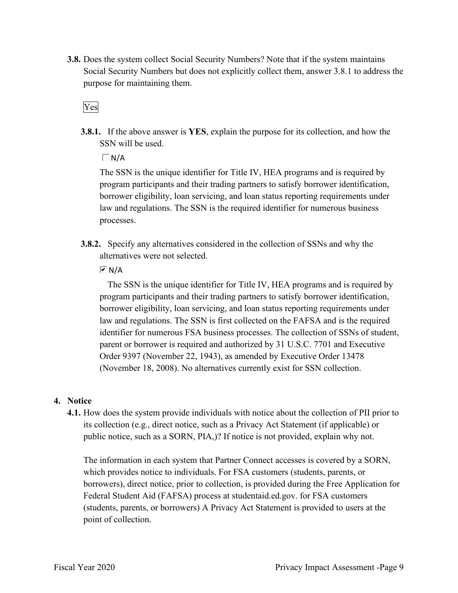**3.8.** Does the system collect Social Security Numbers? Note that if the system maintains Social Security Numbers but does not explicitly collect them, answer 3.8.1 to address the purpose for maintaining them.

Yes

**3.8.1.** If the above answer is **YES**, explain the purpose for its collection, and how the SSN will be used.

 $\Box$ N/A

 The SSN is the unique identifier for Title IV, HEA programs and is required by borrower eligibility, loan servicing, and loan status reporting requirements under program participants and their trading partners to satisfy borrower identification, law and regulations. The SSN is the required identifier for numerous business processes.

 **3.8.2.** Specify any alternatives considered in the collection of SSNs and why the alternatives were not selected.

 $\overline{M}$  N/A

 The SSN is the unique identifier for Title IV, HEA programs and is required by borrower eligibility, loan servicing, and loan status reporting requirements under parent or borrower is required and authorized by 31 U.S.C. 7701 and Executive program participants and their trading partners to satisfy borrower identification, law and regulations. The SSN is first collected on the FAFSA and is the required identifier for numerous FSA business processes. The collection of SSNs of student, Order 9397 (November 22, 1943), as amended by Executive Order 13478 (November 18, 2008). No alternatives currently exist for SSN collection.

### **4. Notice**

 its collection (e.g., direct notice, such as a Privacy Act Statement (if applicable) or public notice, such as a SORN, PIA,)? If notice is not provided, explain why not. **4.1.** How does the system provide individuals with notice about the collection of PII prior to

 Federal Student Aid (FAFSA) process at [studentaid.ed.gov.](https://studentaid.ed.gov) for FSA customers The information in each system that Partner Connect accesses is covered by a SORN, which provides notice to individuals. For FSA customers (students, parents, or borrowers), direct notice, prior to collection, is provided during the Free Application for (students, parents, or borrowers) A Privacy Act Statement is provided to users at the point of collection.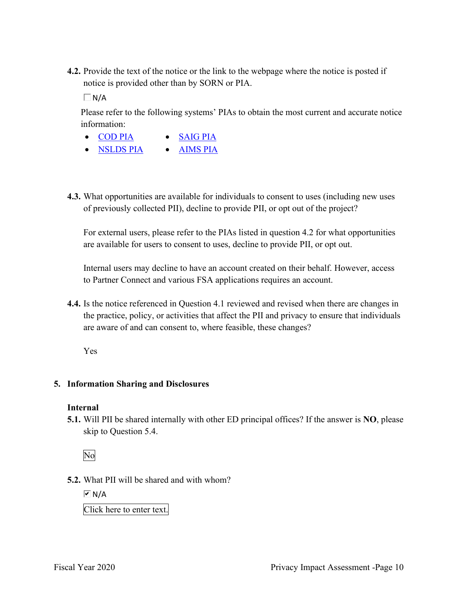**4.2.** Provide the text of the notice or the link to the webpage where the notice is posted if notice is provided other than by SORN or PIA.

 $\Box$ N/A

 Please refer to the following systems' PIAs to obtain the most current and accurate notice information:

- COD PIA SAIG PIA
- NSLDS PIA AIMS PIA
- **4.3.** What opportunities are available for individuals to consent to uses (including new uses of previously collected PII), decline to provide PII, or opt out of the project?

For external users, please refer to the PIAs listed in question 4.2 for what opportunities are available for users to consent to uses, decline to provide PII, or opt out.

 Internal users may decline to have an account created on their behalf. However, access to Partner Connect and various FSA applications requires an account.

 the practice, policy, or activities that affect the PII and privacy to ensure that individuals are aware of and can consent to, where feasible, these changes? **4.4.** Is the notice referenced in Question 4.1 reviewed and revised when there are changes in

Yes

#### **5. Information Sharing and Disclosures**

#### **Internal**

 **5.1.** Will PII be shared internally with other ED principal offices? If the answer is **NO**, please skip to Question 5.4.

No

**5.2.** What PII will be shared and with whom?

 $\overline{M}$  N/A

Click here to enter text.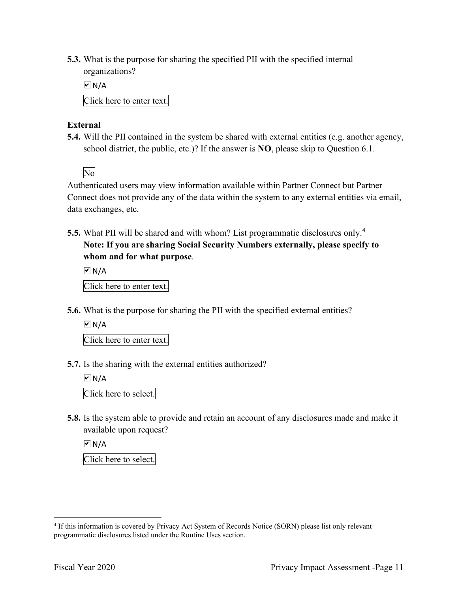organizations? **5.3.** What is the purpose for sharing the specified PII with the specified internal

 $\overline{M}$  N/A

Click here to enter text.

## **External**

**5.4.** Will the PII contained in the system be shared with external entities (e.g. another agency, school district, the public, etc.)? If the answer is **NO**, please skip to Question 6.1.

No

 data exchanges, etc. Authenticated users may view information available within Partner Connect but Partner Connect does not provide any of the data within the system to any external entities via email,

 **5.5.** What PII will be shared and with whom? List programmatic disclosures only.<sup>4</sup> **Note: If you are sharing Social Security Numbers externally, please specify to whom and for what purpose**.

 Click here to enter text.  $\boxed{\triangleright}$  N/A

**5.6.** What is the purpose for sharing the PII with the specified external entities?

 $\boxed{\mathbf{v}}$  N/A

Click here to enter text.

**5.7.** Is the sharing with the external entities authorized?

 $\overline{M}$  N/A

Click here to select.

**5.8.** Is the system able to provide and retain an account of any disclosures made and make it available upon request?

 $\overline{M}$  N/A

Click here to select.

<sup>&</sup>lt;sup>4</sup> If this information is covered by Privacy Act System of Records Notice (SORN) please list only relevant programmatic disclosures listed under the Routine Uses section.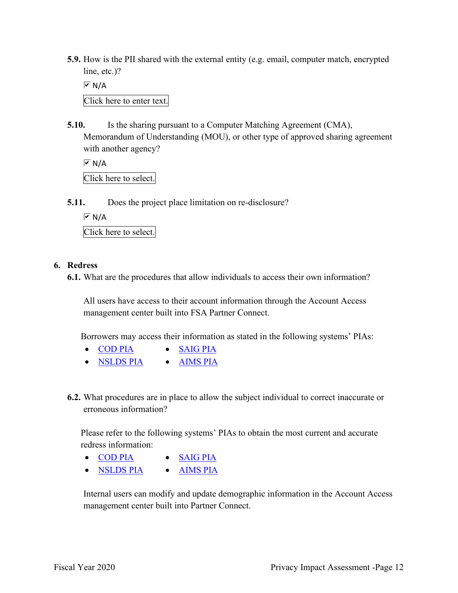**5.9.** How is the PII shared with the external entity (e.g. email, computer match, encrypted line, etc.)?

 Click here to enter text.  $\boxed{\triangleright}$  N/A

**5.10.** Is the sharing pursuant to a Computer Matching Agreement (CMA), Memorandum of Understanding (MOU), or other type of approved sharing agreement with another agency?

 Click here to select.  $\overline{M}$  N/A

**5.11.** Does the project place limitation on re-disclosure?

 $\overline{M}$  N/A

Click here to select.

### **6. Redress**

**6.1.** What are the procedures that allow individuals to access their own information?

All users have access to their account information through the Account Access management center built into FSA Partner Connect.

Borrowers may access their information as stated in the following systems' PIAs:

- COD PIA SAIG PIA
- NSLDS PIA AIMS PIA
- **6.2.** What procedures are in place to allow the subject individual to correct inaccurate or erroneous information?

 Please refer to the following systems' PIAs to obtain the most current and accurate redress information:

- COD PIA SAIG PIA
- NSLDS PIA AIMS PIA

 Internal users can modify and update demographic information in the Account Access management center built into Partner Connect.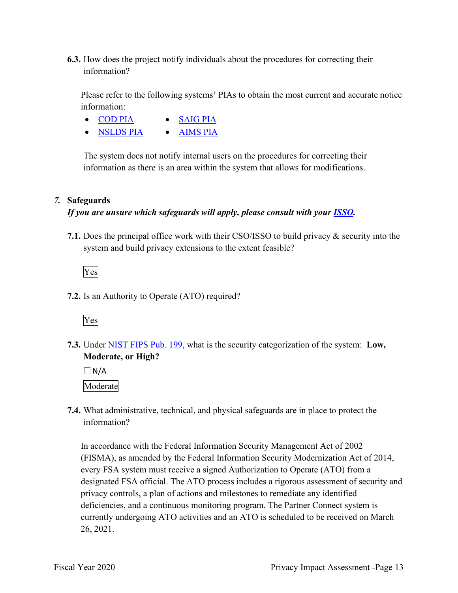**6.3.** How does the project notify individuals about the procedures for correcting their information?

 Please refer to the following systems' PIAs to obtain the most current and accurate notice information:

- COD PIA SAIG PIA
- NSLDS PIA AIMS PIA

 information as there is an area within the system that allows for modifications. The system does not notify internal users on the procedures for correcting their

## *7.* **Safeguards**

## *If you are unsure which safeguards will apply, please consult with your ISSO.*

 system and build privacy extensions to the extent feasible? **7.1.** Does the principal office work with their CSO/ISSO to build privacy & security into the



**7.2.** Is an Authority to Operate (ATO) required?



**7.3.** Under NIST FIPS Pub. 199, what is the security categorization of the system: **Low, Moderate, or High?** 

 $\Box N/A$ Moderate

**7.4.** What administrative, technical, and physical safeguards are in place to protect the information?

 currently undergoing ATO activities and an ATO is scheduled to be received on March In accordance with the Federal Information Security Management Act of 2002 (FISMA), as amended by the Federal Information Security Modernization Act of 2014, every FSA system must receive a signed Authorization to Operate (ATO) from a designated FSA official. The ATO process includes a rigorous assessment of security and privacy controls, a plan of actions and milestones to remediate any identified deficiencies, and a continuous monitoring program. The Partner Connect system is 26, 2021.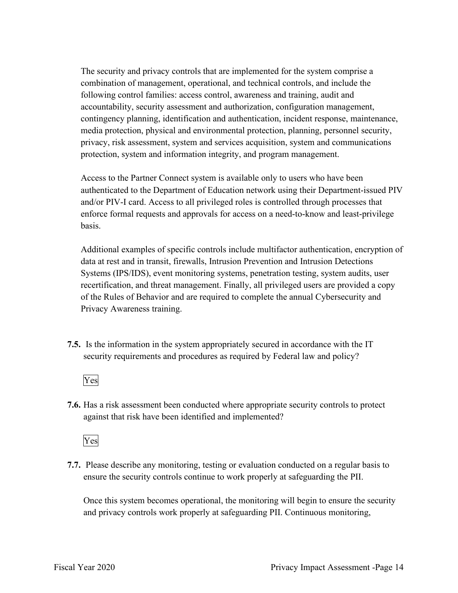The security and privacy controls that are implemented for the system comprise a combination of management, operational, and technical controls, and include the following control families: access control, awareness and training, audit and accountability, security assessment and authorization, configuration management, contingency planning, identification and authentication, incident response, maintenance, media protection, physical and environmental protection, planning, personnel security, privacy, risk assessment, system and services acquisition, system and communications protection, system and information integrity, and program management.

 enforce formal requests and approvals for access on a need-to-know and least-privilege Access to the Partner Connect system is available only to users who have been authenticated to the Department of Education network using their Department-issued PIV and/or PIV-I card. Access to all privileged roles is controlled through processes that basis.

 of the Rules of Behavior and are required to complete the annual Cybersecurity and Additional examples of specific controls include multifactor authentication, encryption of data at rest and in transit, firewalls, Intrusion Prevention and Intrusion Detections Systems (IPS/IDS), event monitoring systems, penetration testing, system audits, user recertification, and threat management. Finally, all privileged users are provided a copy Privacy Awareness training.

 **7.5.** Is the information in the system appropriately secured in accordance with the IT security requirements and procedures as required by Federal law and policy?

# Yes

**7.6.** Has a risk assessment been conducted where appropriate security controls to protect against that risk have been identified and implemented?

Yes

 ensure the security controls continue to work properly at safeguarding the PII. **7.7.** Please describe any monitoring, testing or evaluation conducted on a regular basis to

 Once this system becomes operational, the monitoring will begin to ensure the security and privacy controls work properly at safeguarding PII. Continuous monitoring,